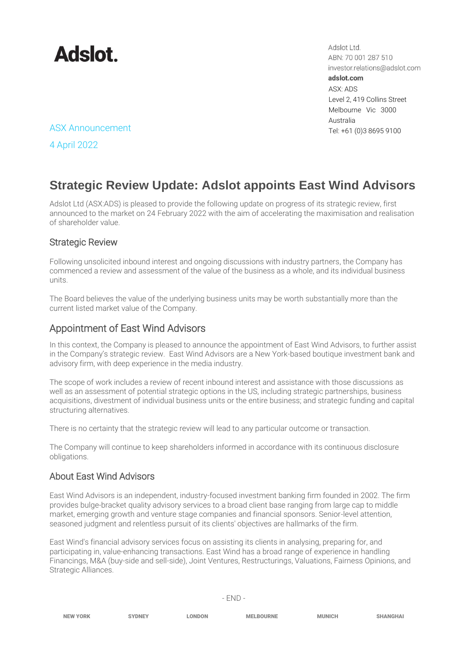

Adslot Ltd. ABN: 70 001 287 510 investor.relations@adslot.com adslot.com ASX: ADS Level 2, 419 Collins Street Melbourne Vic 3000 Australia

## ASX Announcement Tel: +61 (0)3 8695 9100

4 April 2022

# **Strategic Review Update: Adslot appoints East Wind Advisors**

Adslot Ltd (ASX:ADS) is pleased to provide the following update on progress of its strategic review, first announced to the market on 24 February 2022 with the aim of accelerating the maximisation and realisation of shareholder value.

#### Strategic Review

Following unsolicited inbound interest and ongoing discussions with industry partners, the Company has commenced a review and assessment of the value of the business as a whole, and its individual business units.

The Board believes the value of the underlying business units may be worth substantially more than the current listed market value of the Company.

### Appointment of East Wind Advisors

In this context, the Company is pleased to announce the appointment of East Wind Advisors, to further assist in the Company's strategic review. East Wind Advisors are a New York-based boutique investment bank and advisory firm, with deep experience in the media industry.

The scope of work includes a review of recent inbound interest and assistance with those discussions as well as an assessment of potential strategic options in the US, including strategic partnerships, business acquisitions, divestment of individual business units or the entire business; and strategic funding and capital structuring alternatives.

There is no certainty that the strategic review will lead to any particular outcome or transaction.

The Company will continue to keep shareholders informed in accordance with its continuous disclosure obligations.

### About East Wind Advisors

East Wind Advisors is an independent, industry-focused investment banking firm founded in 2002. The firm provides bulge-bracket quality advisory services to a broad client base ranging from large cap to middle market, emerging growth and venture stage companies and financial sponsors. Senior-level attention, seasoned judgment and relentless pursuit of its clients' objectives are hallmarks of the firm.

East Wind's financial advisory services focus on assisting its clients in analysing, preparing for, and participating in, value-enhancing transactions. East Wind has a broad range of experience in handling Financings, M&A (buy-side and sell-side), Joint Ventures, Restructurings, Valuations, Fairness Opinions, and Strategic Alliances.

| <b>NEW YORK</b> | <b>SYDNEY</b> | <b>LONDON</b> | <b>MELBOURNE</b> | <b>MUNICH</b> | <b>SHANGHAI</b> |
|-----------------|---------------|---------------|------------------|---------------|-----------------|